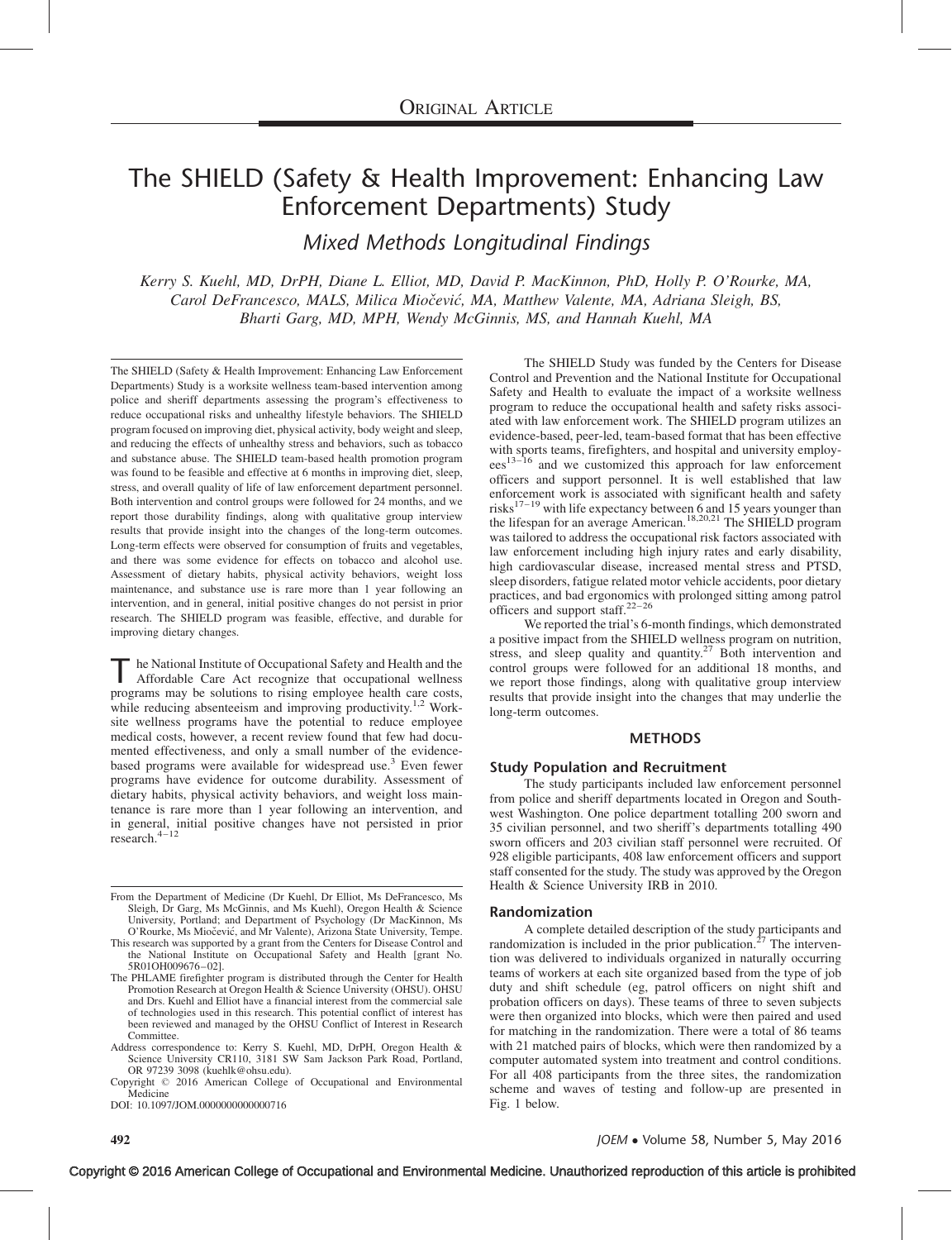# The SHIELD (Safety & Health Improvement: Enhancing Law Enforcement Departments) Study

Mixed Methods Longitudinal Findings

Kerry S. Kuehl, MD, DrPH, Diane L. Elliot, MD, David P. MacKinnon, PhD, Holly P. O'Rourke, MA, Carol DeFrancesco, MALS, Milica Miočević, MA, Matthew Valente, MA, Adriana Sleigh, BS, Bharti Garg, MD, MPH, Wendy McGinnis, MS, and Hannah Kuehl, MA

The SHIELD (Safety & Health Improvement: Enhancing Law Enforcement Departments) Study is a worksite wellness team-based intervention among police and sheriff departments assessing the program's effectiveness to reduce occupational risks and unhealthy lifestyle behaviors. The SHIELD program focused on improving diet, physical activity, body weight and sleep, and reducing the effects of unhealthy stress and behaviors, such as tobacco and substance abuse. The SHIELD team-based health promotion program was found to be feasible and effective at 6 months in improving diet, sleep, stress, and overall quality of life of law enforcement department personnel. Both intervention and control groups were followed for 24 months, and we report those durability findings, along with qualitative group interview results that provide insight into the changes of the long-term outcomes. Long-term effects were observed for consumption of fruits and vegetables, and there was some evidence for effects on tobacco and alcohol use. Assessment of dietary habits, physical activity behaviors, weight loss maintenance, and substance use is rare more than 1 year following an intervention, and in general, initial positive changes do not persist in prior research. The SHIELD program was feasible, effective, and durable for improving dietary changes.

he National Institute of Occupational Safety and Health and the Affordable Care Act recognize that occupational wellness programs may be solutions to rising employee health care costs, while reducing absenteeism and improving productivity.<sup>[1,2](#page-5-0)</sup> Worksite wellness programs have the potential to reduce employee medical costs, however, a recent review found that few had documented effectiveness, and only a small number of the evidencebased programs were available for widespread use.<sup>3</sup> Even fewer programs have evidence for outcome durability. Assessment of dietary habits, physical activity behaviors, and weight loss maintenance is rare more than 1 year following an intervention, and in general, initial positive changes have not persisted in prior research.[4–12](#page-6-0)

Copyright © 2016 American College of Occupational and Environmental Medicine

DOI: 10.1097/JOM.0000000000000716

The SHIELD Study was funded by the Centers for Disease Control and Prevention and the National Institute for Occupational Safety and Health to evaluate the impact of a worksite wellness program to reduce the occupational health and safety risks associated with law enforcement work. The SHIELD program utilizes an evidence-based, peer-led, team-based format that has been effective with sports teams, firefighters, and hospital and university employ- $\text{e}^{\text{13}-16}$  and we customized this approach for law enforcement officers and support personnel. It is well established that law enforcement work is associated with significant health and safety risks<sup>[17–19](#page-6-0)</sup> with life expectancy between 6 and 15 years younger than the lifespan for an average American.<sup>[18,20,21](#page-6-0)</sup> The SHIELD program was tailored to address the occupational risk factors associated with law enforcement including high injury rates and early disability, high cardiovascular disease, increased mental stress and PTSD, sleep disorders, fatigue related motor vehicle accidents, poor dietary practices, and bad ergonomics with prolonged sitting among patrol officers and support staff.<sup>22</sup>

We reported the trial's 6-month findings, which demonstrated a positive impact from the SHIELD wellness program on nutrition, stress, and sleep quality and quantity.<sup>[27](#page-6-0)</sup> Both intervention and control groups were followed for an additional 18 months, and we report those findings, along with qualitative group interview results that provide insight into the changes that may underlie the long-term outcomes.

# METHODS

#### Study Population and Recruitment

The study participants included law enforcement personnel from police and sheriff departments located in Oregon and Southwest Washington. One police department totalling 200 sworn and 35 civilian personnel, and two sheriff's departments totalling 490 sworn officers and 203 civilian staff personnel were recruited. Of 928 eligible participants, 408 law enforcement officers and support staff consented for the study. The study was approved by the Oregon Health & Science University IRB in 2010.

#### Randomization

A complete detailed description of the study participants and randomization is included in the prior publication.<sup>[27](#page-6-0)</sup> The intervention was delivered to individuals organized in naturally occurring teams of workers at each site organized based from the type of job duty and shift schedule (eg, patrol officers on night shift and probation officers on days). These teams of three to seven subjects were then organized into blocks, which were then paired and used for matching in the randomization. There were a total of 86 teams with 21 matched pairs of blocks, which were then randomized by a computer automated system into treatment and control conditions. For all 408 participants from the three sites, the randomization scheme and waves of testing and follow-up are presented in Fig. 1 below.

From the Department of Medicine (Dr Kuehl, Dr Elliot, Ms DeFrancesco, Ms Sleigh, Dr Garg, Ms McGinnis, and Ms Kuehl), Oregon Health & Science University, Portland; and Department of Psychology (Dr MacKinnon, Ms O'Rourke, Ms Miočević, and Mr Valente), Arizona State University, Tempe.

This research was supported by a grant from the Centers for Disease Control and the National Institute on Occupational Safety and Health [grant No. 5R01OH009676–02].

The PHLAME firefighter program is distributed through the Center for Health Promotion Research at Oregon Health & Science University (OHSU). OHSU and Drs. Kuehl and Elliot have a financial interest from the commercial sale of technologies used in this research. This potential conflict of interest has been reviewed and managed by the OHSU Conflict of Interest in Research Committee.

Address correspondence to: Kerry S. Kuehl, MD, DrPH, Oregon Health & Science University CR110, 3181 SW Sam Jackson Park Road, Portland, OR 97239 3098 ([kuehlk@ohsu.edu\)](mailto:kuehlk@ohsu.edu).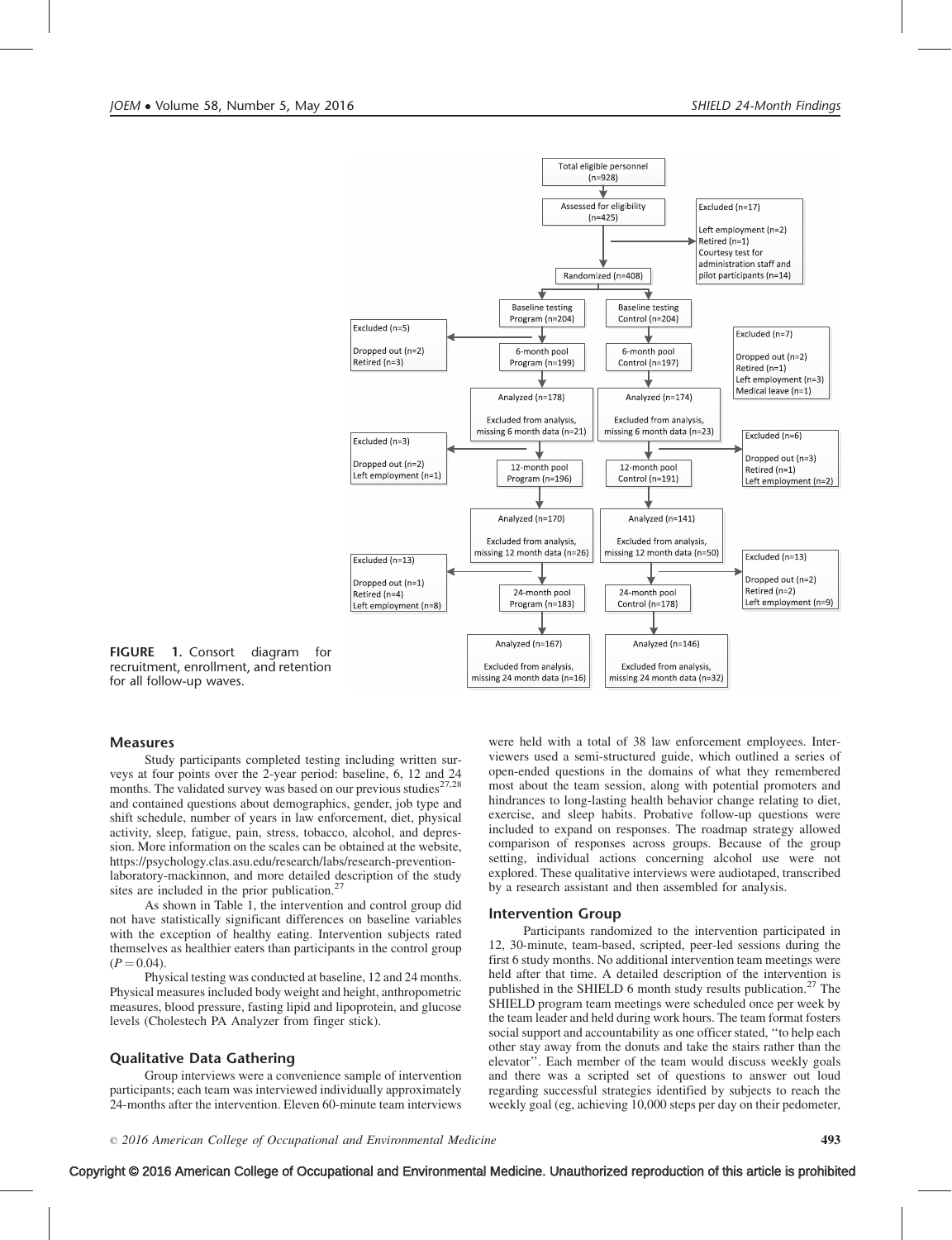

FIGURE 1. Consort diagram for recruitment, enrollment, and retention for all follow-up waves.

# Measures

Study participants completed testing including written surveys at four points over the 2-year period: baseline, 6, 12 and 24 months. The validated survey was based on our previous studies<sup>[27,28](#page-6-0)</sup> and contained questions about demographics, gender, job type and shift schedule, number of years in law enforcement, diet, physical activity, sleep, fatigue, pain, stress, tobacco, alcohol, and depression. More information on the scales can be obtained at the website, [https://psychology.clas.asu.edu/research/labs/research-prevention](https://psychology.clas.asu.edu/research/labs/research-prevention-laboratory-mackinnon)[laboratory-mackinnon](https://psychology.clas.asu.edu/research/labs/research-prevention-laboratory-mackinnon), and more detailed description of the study sites are included in the prior publication.<sup>27</sup>

As shown in Table 1, the intervention and control group did not have statistically significant differences on baseline variables with the exception of healthy eating. Intervention subjects rated themselves as healthier eaters than participants in the control group  $(P = 0.04)$ .

Physical testing was conducted at baseline, 12 and 24 months. Physical measures included body weight and height, anthropometric measures, blood pressure, fasting lipid and lipoprotein, and glucose levels (Cholestech PA Analyzer from finger stick).

# Qualitative Data Gathering

Group interviews were a convenience sample of intervention participants; each team was interviewed individually approximately 24-months after the intervention. Eleven 60-minute team interviews

were held with a total of 38 law enforcement employees. Interviewers used a semi-structured guide, which outlined a series of open-ended questions in the domains of what they remembered most about the team session, along with potential promoters and hindrances to long-lasting health behavior change relating to diet, exercise, and sleep habits. Probative follow-up questions were included to expand on responses. The roadmap strategy allowed comparison of responses across groups. Because of the group setting, individual actions concerning alcohol use were not explored. These qualitative interviews were audiotaped, transcribed by a research assistant and then assembled for analysis.

#### Intervention Group

Participants randomized to the intervention participated in 12, 30-minute, team-based, scripted, peer-led sessions during the first 6 study months. No additional intervention team meetings were held after that time. A detailed description of the intervention is published in the SHIELD 6 month study results publication.<sup>[27](#page-6-0)</sup> The SHIELD program team meetings were scheduled once per week by the team leader and held during work hours. The team format fosters social support and accountability as one officer stated, ''to help each other stay away from the donuts and take the stairs rather than the elevator''. Each member of the team would discuss weekly goals and there was a scripted set of questions to answer out loud regarding successful strategies identified by subjects to reach the weekly goal (eg, achieving 10,000 steps per day on their pedometer,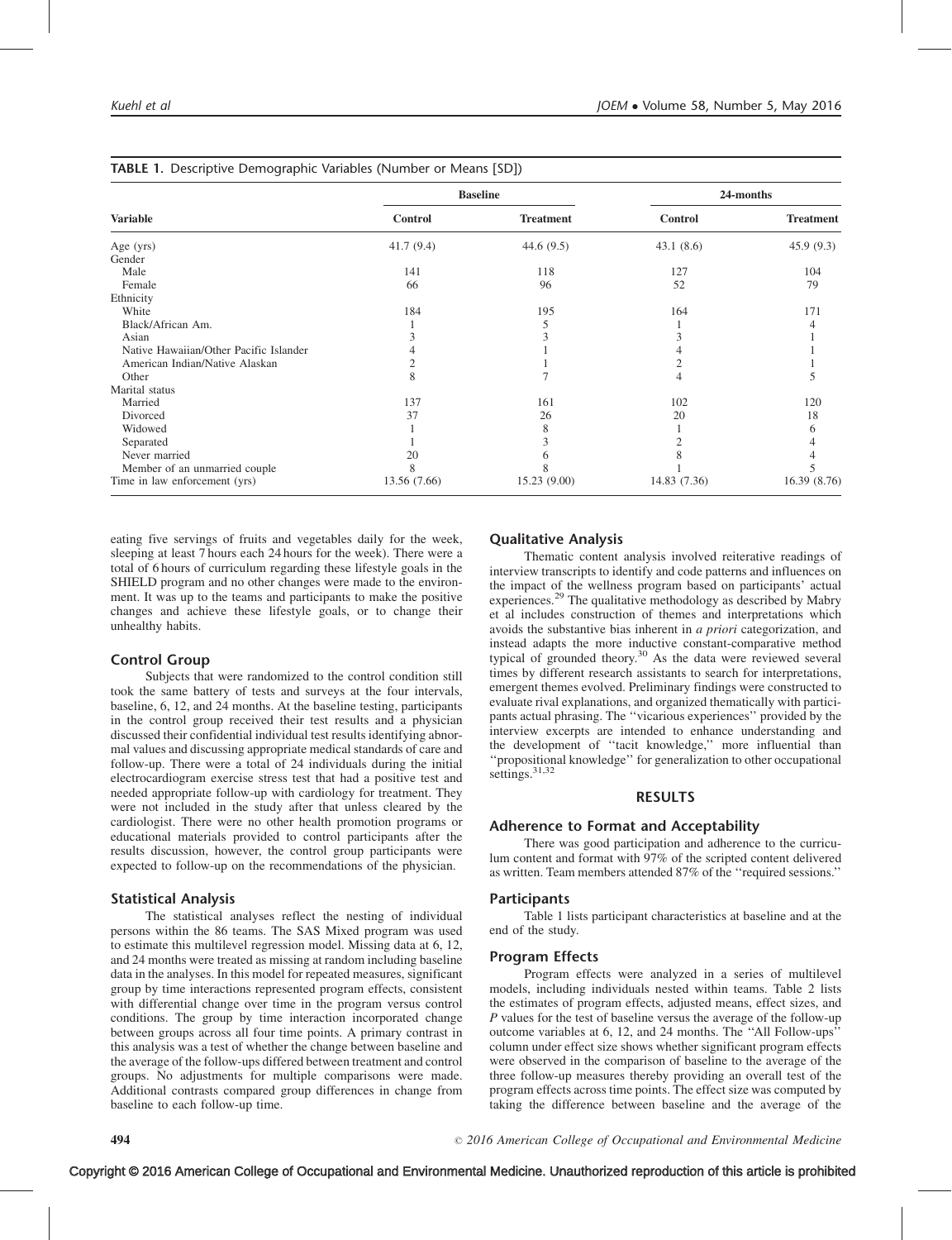|                                        |                | <b>Baseline</b>  | 24-months    |                  |
|----------------------------------------|----------------|------------------|--------------|------------------|
| <b>Variable</b>                        | <b>Control</b> | <b>Treatment</b> | Control      | <b>Treatment</b> |
| Age $(yrs)$                            | 41.7(9.4)      | 44.6 $(9.5)$     | 43.1(8.6)    | 45.9(9.3)        |
| Gender                                 |                |                  |              |                  |
| Male                                   | 141            | 118              | 127          | 104              |
| Female                                 | 66             | 96               | 52           | 79               |
| Ethnicity                              |                |                  |              |                  |
| White                                  | 184            | 195              | 164          | 171              |
| Black/African Am.                      |                |                  |              |                  |
| Asian                                  |                |                  |              |                  |
| Native Hawaiian/Other Pacific Islander |                |                  |              |                  |
| American Indian/Native Alaskan         |                |                  |              |                  |
| Other                                  | 8              |                  | 4            |                  |
| Marital status                         |                |                  |              |                  |
| Married                                | 137            | 161              | 102          | 120              |
| Divorced                               | 37             | 26               | 20           | 18               |
| Widowed                                |                | ð                |              |                  |
| Separated                              |                |                  |              |                  |
| Never married                          | 20             |                  |              |                  |
| Member of an unmarried couple          | 8              | 8                |              |                  |
| Time in law enforcement (yrs)          | 13.56 (7.66)   | 15.23(9.00)      | 14.83 (7.36) | 16.39 (8.76)     |

|  |  | TABLE 1. Descriptive Demographic Variables (Number or Means [SD]) |  |
|--|--|-------------------------------------------------------------------|--|
|--|--|-------------------------------------------------------------------|--|

eating five servings of fruits and vegetables daily for the week, sleeping at least 7 hours each 24 hours for the week). There were a total of 6 hours of curriculum regarding these lifestyle goals in the SHIELD program and no other changes were made to the environment. It was up to the teams and participants to make the positive changes and achieve these lifestyle goals, or to change their unhealthy habits.

# Control Group

Subjects that were randomized to the control condition still took the same battery of tests and surveys at the four intervals, baseline, 6, 12, and 24 months. At the baseline testing, participants in the control group received their test results and a physician discussed their confidential individual test results identifying abnormal values and discussing appropriate medical standards of care and follow-up. There were a total of 24 individuals during the initial electrocardiogram exercise stress test that had a positive test and needed appropriate follow-up with cardiology for treatment. They were not included in the study after that unless cleared by the cardiologist. There were no other health promotion programs or educational materials provided to control participants after the results discussion, however, the control group participants were expected to follow-up on the recommendations of the physician.

# Statistical Analysis

The statistical analyses reflect the nesting of individual persons within the 86 teams. The SAS Mixed program was used to estimate this multilevel regression model. Missing data at 6, 12, and 24 months were treated as missing at random including baseline data in the analyses. In this model for repeated measures, significant group by time interactions represented program effects, consistent with differential change over time in the program versus control conditions. The group by time interaction incorporated change between groups across all four time points. A primary contrast in this analysis was a test of whether the change between baseline and the average of the follow-ups differed between treatment and control groups. No adjustments for multiple comparisons were made. Additional contrasts compared group differences in change from baseline to each follow-up time.

#### Qualitative Analysis

Thematic content analysis involved reiterative readings of interview transcripts to identify and code patterns and influences on the impact of the wellness program based on participants' actual experiences.<sup>[29](#page-6-0)</sup> The qualitative methodology as described by Mabry et al includes construction of themes and interpretations which avoids the substantive bias inherent in a priori categorization, and instead adapts the more inductive constant-comparative method typical of grounded theory.<sup>[30](#page-6-0)</sup> As the data were reviewed several times by different research assistants to search for interpretations, emergent themes evolved. Preliminary findings were constructed to evaluate rival explanations, and organized thematically with participants actual phrasing. The ''vicarious experiences'' provided by the interview excerpts are intended to enhance understanding and the development of ''tacit knowledge,'' more influential than ''propositional knowledge'' for generalization to other occupational settings.<sup>[31,32](#page-6-0)</sup>

# RESULTS

# Adherence to Format and Acceptability

There was good participation and adherence to the curriculum content and format with 97% of the scripted content delivered as written. Team members attended 87% of the ''required sessions.''

#### Participants

Table 1 lists participant characteristics at baseline and at the end of the study.

#### Program Effects

Program effects were analyzed in a series of multilevel models, including individuals nested within teams. Table 2 lists the estimates of program effects, adjusted means, effect sizes, and P values for the test of baseline versus the average of the follow-up outcome variables at 6, 12, and 24 months. The ''All Follow-ups'' column under effect size shows whether significant program effects were observed in the comparison of baseline to the average of the three follow-up measures thereby providing an overall test of the program effects across time points. The effect size was computed by taking the difference between baseline and the average of the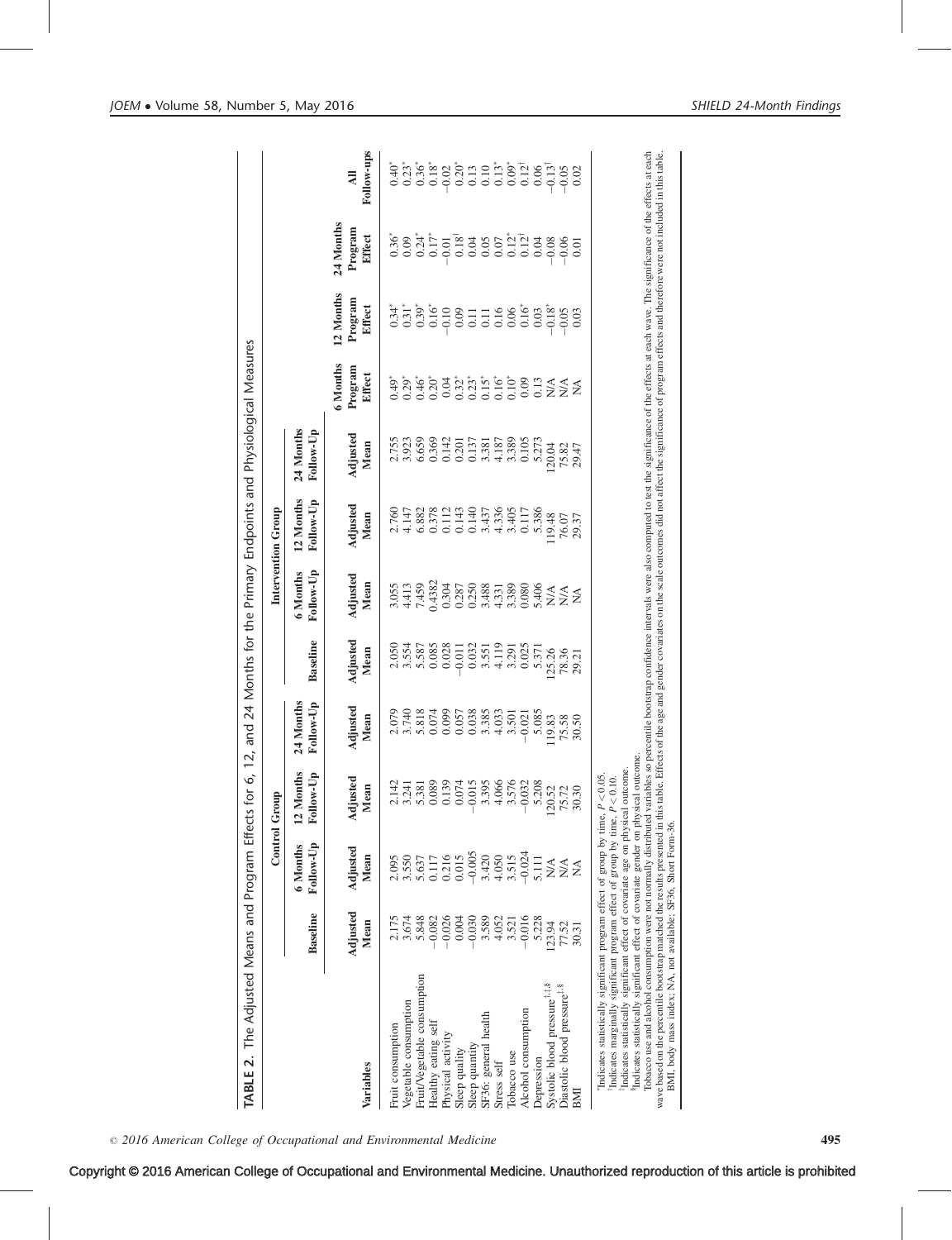| The Adjusted Means and Program Effects for<br>$\overline{\mathbf{v}}$<br>TABLE                                                                                                                                                                                                                                                                                                                                                                                                                                                                                                                                                                                                                                                                                                                                                                                                         |                  |                                                   | Ò,<br>≏<br><b>Control Grou</b>                                                                                                                                                                                                                                                                              | and<br>12,             |                         |                              | Intervention Group     | 24 Months for the Primary Endpoints and Physiological Measures |                               |                                |                                |  |
|----------------------------------------------------------------------------------------------------------------------------------------------------------------------------------------------------------------------------------------------------------------------------------------------------------------------------------------------------------------------------------------------------------------------------------------------------------------------------------------------------------------------------------------------------------------------------------------------------------------------------------------------------------------------------------------------------------------------------------------------------------------------------------------------------------------------------------------------------------------------------------------|------------------|---------------------------------------------------|-------------------------------------------------------------------------------------------------------------------------------------------------------------------------------------------------------------------------------------------------------------------------------------------------------------|------------------------|-------------------------|------------------------------|------------------------|----------------------------------------------------------------|-------------------------------|--------------------------------|--------------------------------|--|
|                                                                                                                                                                                                                                                                                                                                                                                                                                                                                                                                                                                                                                                                                                                                                                                                                                                                                        | <b>Baseline</b>  | Follow-Up<br>6 Months                             | lonths<br>Follow-Up<br>12 M <sub>g</sub>                                                                                                                                                                                                                                                                    | 24 Months<br>Follow-Up | <b>Baseline</b>         | Follow-Up<br>6 Months        | 12 Months<br>Follow-Up | 24 Months<br>Follow-Up                                         |                               |                                |                                |  |
| Variables                                                                                                                                                                                                                                                                                                                                                                                                                                                                                                                                                                                                                                                                                                                                                                                                                                                                              | Adjusted<br>Mean | Adjusted<br>Mean                                  | Adjusted<br>an<br>$\mathbf{E}$                                                                                                                                                                                                                                                                              | Adjusted<br>Mean       | Adjusted<br>Mean        | Adjusted<br>Mean             | Adjusted<br>Mean       | Adjusted<br>Mean                                               | 6 Months<br>Program<br>Effect | 12 Months<br>Program<br>Effect | 24 Months<br>Program<br>Effect |  |
| Fruit consumption                                                                                                                                                                                                                                                                                                                                                                                                                                                                                                                                                                                                                                                                                                                                                                                                                                                                      |                  | 2.095                                             |                                                                                                                                                                                                                                                                                                             | 2.079                  | 2.050                   | 3.055                        | 2.760                  |                                                                | 0.49                          | $0.34*$                        | $0.36^{\circ}$                 |  |
| Vegetable consumption                                                                                                                                                                                                                                                                                                                                                                                                                                                                                                                                                                                                                                                                                                                                                                                                                                                                  | 2.175<br>3.674   |                                                   |                                                                                                                                                                                                                                                                                                             | 3.740                  |                         | 4.413                        | 4.147                  | 2.755<br>3.923                                                 | $0.29*$                       | $0.31$ <sup>*</sup>            | 0.09                           |  |
| Fruit/Vegetable consumption                                                                                                                                                                                                                                                                                                                                                                                                                                                                                                                                                                                                                                                                                                                                                                                                                                                            | 5.848            | 3.550<br>5.637                                    |                                                                                                                                                                                                                                                                                                             | 5.818                  | 3.554<br>5.587<br>0.085 | 7.459                        | 6.882                  | 6.659                                                          | $0.46*$                       | $0.39*$                        | $0.24*$                        |  |
| Healthy eating self                                                                                                                                                                                                                                                                                                                                                                                                                                                                                                                                                                                                                                                                                                                                                                                                                                                                    | 0.082            | 0.117                                             |                                                                                                                                                                                                                                                                                                             | 0.074                  |                         | 0.4382                       | 0.378                  | 0.369                                                          | $0.20*$                       | $0.16*$                        | $0.17*$                        |  |
| Physical activity                                                                                                                                                                                                                                                                                                                                                                                                                                                                                                                                                                                                                                                                                                                                                                                                                                                                      | $-0.026$         | 0.216                                             | $\begin{array}{l} 1.141 \\ 2.141 \\ 3.81 \\ 4.181 \\ 5.241 \\ 6.89 \\ 8.99 \\ 2.01 \\ 2.01 \\ 2.01 \\ 2.01 \\ 2.01 \\ 2.01 \\ 2.01 \\ 2.02 \\ 2.03 \\ 2.08 \\ 2.03 \\ 2.08 \\ 2.03 \\ 2.08 \\ 2.00 \\ 2.00 \\ 2.01 \\ 2.02 \\ 2.03 \\ 2.03 \\ 2.04 \\ 2.03 \\ 2.04 \\ 2.03 \\ 2.04 \\ 2.03 \\ 2.04 \\ 2.04$ | 0.099                  | 0.028                   | 0.304                        | 0.112                  | 0.142                                                          | 0.04                          | 0.10                           | 0.01                           |  |
| Sleep quality                                                                                                                                                                                                                                                                                                                                                                                                                                                                                                                                                                                                                                                                                                                                                                                                                                                                          | 0.004            | 0.015                                             |                                                                                                                                                                                                                                                                                                             | 0.057                  | $-0.011$                | 0.287                        | 0.143                  | 0.201                                                          | $0.32*$                       | 0.09                           | $0.18^{\dagger}$               |  |
| Sleep quantity                                                                                                                                                                                                                                                                                                                                                                                                                                                                                                                                                                                                                                                                                                                                                                                                                                                                         | $-0.030$         | $-0.005$<br>3.420                                 |                                                                                                                                                                                                                                                                                                             | 0.038<br>3.385         | 0.032                   | 0.250                        | 0.140                  | 0.137<br>3.381                                                 | $0.23*$                       | 0.11                           | 0.04<br>0.05                   |  |
| SF36: general health<br>Stress self                                                                                                                                                                                                                                                                                                                                                                                                                                                                                                                                                                                                                                                                                                                                                                                                                                                    | 3.589<br>4.052   | 4.050                                             |                                                                                                                                                                                                                                                                                                             | 4.033                  | 4.119<br>3.551          | 3.488<br>4.331               | 4.336<br>3.437         | 4.187                                                          | $0.16*$<br>$0.15*$            | 0.16<br>0.11                   | 0.07                           |  |
| Tobacco use                                                                                                                                                                                                                                                                                                                                                                                                                                                                                                                                                                                                                                                                                                                                                                                                                                                                            | 3.521            | 3.515                                             |                                                                                                                                                                                                                                                                                                             | 3.501                  | 3.291                   | 3.389                        | 3.405                  | 3.389                                                          | $0.10*$                       | 0.06                           | $0.12$ <sup>*</sup>            |  |
| Alcohol consumption                                                                                                                                                                                                                                                                                                                                                                                                                                                                                                                                                                                                                                                                                                                                                                                                                                                                    | $-0.016$         | $-0.024$                                          |                                                                                                                                                                                                                                                                                                             | $-0.021$               | 0.025                   | 0.080                        | 0.117                  | 0.105                                                          | 0.09                          | $0.16*$                        | $0.12^{\dagger}$               |  |
| Depression                                                                                                                                                                                                                                                                                                                                                                                                                                                                                                                                                                                                                                                                                                                                                                                                                                                                             | 5.228            | 5.111                                             |                                                                                                                                                                                                                                                                                                             | 5.085                  | 5.371                   | 5.406                        | 5.386                  | 5.273                                                          | 0.13                          | 0.03                           | 0.04                           |  |
| Systolic blood pressure <sup>†,#,\$</sup>                                                                                                                                                                                                                                                                                                                                                                                                                                                                                                                                                                                                                                                                                                                                                                                                                                              | 123.94           | $\mathop{\mathsf{N}}\nolimits\mathop{\mathsf{A}}$ | $\tilde{\mathcal{S}}$<br>120.                                                                                                                                                                                                                                                                               | 119.83                 | 125.26                  | $\stackrel{\triangle}{\geq}$ | 119.48                 | 120.04                                                         | N/A                           | $0.18*$                        | $-0.08$                        |  |
| Diastolic blood pressure#,\$<br>BMI                                                                                                                                                                                                                                                                                                                                                                                                                                                                                                                                                                                                                                                                                                                                                                                                                                                    | 77.52<br>30.31   | $N\!A$<br>$\sum_{i=1}^{n}$                        | $\mathcal{L}$<br>30.30<br>75.                                                                                                                                                                                                                                                                               | 75.58<br>30.50         | 78.36<br>29.21          | $N\!A$<br>≸                  | 76.07<br>29.37         | 75.82<br>29.47                                                 | N/A<br>≸                      | 0.05<br>0.03                   | 0.06<br>0.01                   |  |
| Tobaco use and alcohol consumption were not normally distributed variables so percentile bootstrap confidence intervals were also computed to test the significance of the effects at each wave. The significance of the effec<br>wave based on the percentile bootstrap matched the results presented in this table. Effects of the age and gender covariates on the scale outcomes did not affect the significance of program effects and therefore were not i<br><sup>8</sup> Indicates statistically significant effect of covariate gender on physical outcome.<br>Indicates statistically significant effect of covariate age on physical outcome.<br>Indicates marginally significant program effect of group by time, $P < 0.10$ .<br>"Indicates statistically significant program effect of group by time, P<br>BMI, body mass index; NA, not available; SF36, Short Form-36. |                  |                                                   | $< 0.05$ .                                                                                                                                                                                                                                                                                                  |                        |                         |                              |                        |                                                                |                               |                                |                                |  |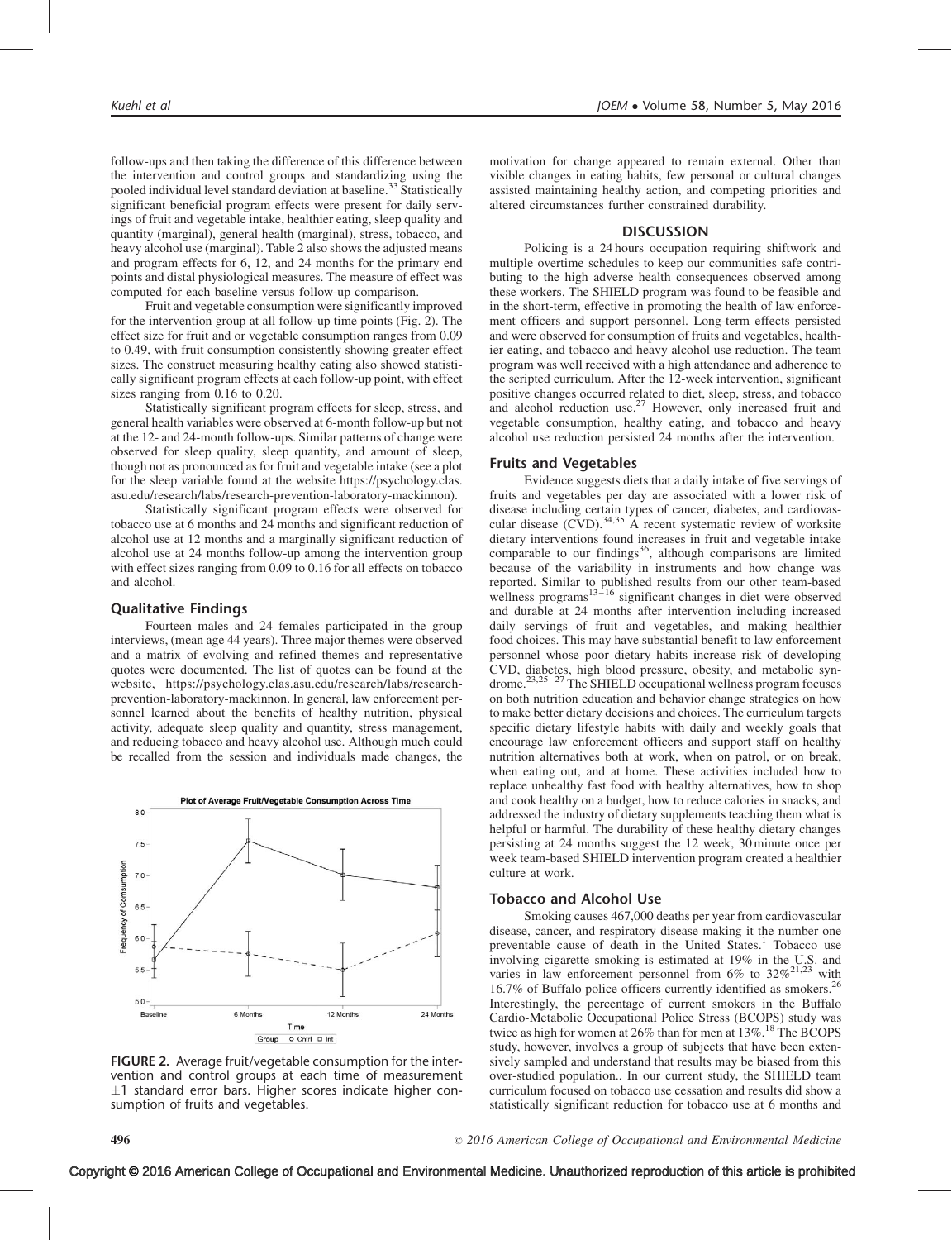follow-ups and then taking the difference of this difference between the intervention and control groups and standardizing using the pooled individual level standard deviation at baseline.<sup>[33](#page-6-0)</sup> Statistically significant beneficial program effects were present for daily servings of fruit and vegetable intake, healthier eating, sleep quality and quantity (marginal), general health (marginal), stress, tobacco, and heavy alcohol use (marginal). Table 2 also shows the adjusted means and program effects for 6, 12, and 24 months for the primary end points and distal physiological measures. The measure of effect was computed for each baseline versus follow-up comparison.

Fruit and vegetable consumption were significantly improved for the intervention group at all follow-up time points (Fig. 2). The effect size for fruit and or vegetable consumption ranges from 0.09 to 0.49, with fruit consumption consistently showing greater effect sizes. The construct measuring healthy eating also showed statistically significant program effects at each follow-up point, with effect sizes ranging from 0.16 to 0.20.

Statistically significant program effects for sleep, stress, and general health variables were observed at 6-month follow-up but not at the 12- and 24-month follow-ups. Similar patterns of change were observed for sleep quality, sleep quantity, and amount of sleep, though not as pronounced as for fruit and vegetable intake (see a plot for the sleep variable found at the website [https://psychology.clas.](https://psychology.clas.asu.edu/research/labs/research-prevention-laboratory-mackinnon) [asu.edu/research/labs/research-prevention-laboratory-mackinnon](https://psychology.clas.asu.edu/research/labs/research-prevention-laboratory-mackinnon)).

Statistically significant program effects were observed for tobacco use at 6 months and 24 months and significant reduction of alcohol use at 12 months and a marginally significant reduction of alcohol use at 24 months follow-up among the intervention group with effect sizes ranging from 0.09 to 0.16 for all effects on tobacco and alcohol.

# Qualitative Findings

Fourteen males and 24 females participated in the group interviews, (mean age 44 years). Three major themes were observed and a matrix of evolving and refined themes and representative quotes were documented. The list of quotes can be found at the website, [https://psychology.clas.asu.edu/research/labs/research](https://psychology.clas.asu.edu/research/labs/research-prevention-laboratory-mackinnon)[prevention-laboratory-mackinnon.](https://psychology.clas.asu.edu/research/labs/research-prevention-laboratory-mackinnon) In general, law enforcement personnel learned about the benefits of healthy nutrition, physical activity, adequate sleep quality and quantity, stress management, and reducing tobacco and heavy alcohol use. Although much could be recalled from the session and individuals made changes, the



FIGURE 2. Average fruit/vegetable consumption for the intervention and control groups at each time of measurement  $\pm 1$  standard error bars. Higher scores indicate higher consumption of fruits and vegetables.

motivation for change appeared to remain external. Other than visible changes in eating habits, few personal or cultural changes assisted maintaining healthy action, and competing priorities and altered circumstances further constrained durability.

# **DISCUSSION**

Policing is a 24 hours occupation requiring shiftwork and multiple overtime schedules to keep our communities safe contributing to the high adverse health consequences observed among these workers. The SHIELD program was found to be feasible and in the short-term, effective in promoting the health of law enforcement officers and support personnel. Long-term effects persisted and were observed for consumption of fruits and vegetables, healthier eating, and tobacco and heavy alcohol use reduction. The team program was well received with a high attendance and adherence to the scripted curriculum. After the 12-week intervention, significant positive changes occurred related to diet, sleep, stress, and tobacco and alcohol reduction use.<sup>[27](#page-6-0)</sup> However, only increased fruit and vegetable consumption, healthy eating, and tobacco and heavy alcohol use reduction persisted 24 months after the intervention.

## Fruits and Vegetables

Evidence suggests diets that a daily intake of five servings of fruits and vegetables per day are associated with a lower risk of disease including certain types of cancer, diabetes, and cardiovas-cular disease (CVD).<sup>[34,35](#page-6-0)</sup> A recent systematic review of worksite dietary interventions found increases in fruit and vegetable intake comparable to our findings<sup>[36](#page-6-0)</sup>, although comparisons are limited because of the variability in instruments and how change was reported. Similar to published results from our other team-based wellness programs<sup>[13–16](#page-6-0)</sup> significant changes in diet were observed and durable at 24 months after intervention including increased daily servings of fruit and vegetables, and making healthier food choices. This may have substantial benefit to law enforcement personnel whose poor dietary habits increase risk of developing CVD, diabetes, high blood pressure, obesity, and metabolic syndrome[.23,25–27](#page-6-0) The SHIELD occupational wellness program focuses on both nutrition education and behavior change strategies on how to make better dietary decisions and choices. The curriculum targets specific dietary lifestyle habits with daily and weekly goals that encourage law enforcement officers and support staff on healthy nutrition alternatives both at work, when on patrol, or on break, when eating out, and at home. These activities included how to replace unhealthy fast food with healthy alternatives, how to shop and cook healthy on a budget, how to reduce calories in snacks, and addressed the industry of dietary supplements teaching them what is helpful or harmful. The durability of these healthy dietary changes persisting at 24 months suggest the 12 week, 30 minute once per week team-based SHIELD intervention program created a healthier culture at work.

#### Tobacco and Alcohol Use

Smoking causes 467,000 deaths per year from cardiovascular disease, cancer, and respiratory disease making it the number one preventable cause of death in the United States.<sup>[1](#page-5-0)</sup> Tobacco use involving cigarette smoking is estimated at 19% in the U.S. and varies in law enforcement personnel from  $6\%$  to  $32\%^{21,23}$  $32\%^{21,23}$  $32\%^{21,23}$  with 16.7% of Buffalo police officers currently identified as smokers.<sup>[26](#page-6-0)</sup> Interestingly, the percentage of current smokers in the Buffalo Cardio-Metabolic Occupational Police Stress (BCOPS) study was twice as high for women at  $26\%$  than for men at  $13\%$ .<sup>18</sup> The BCOPS study, however, involves a group of subjects that have been extensively sampled and understand that results may be biased from this over-studied population.. In our current study, the SHIELD team curriculum focused on tobacco use cessation and results did show a statistically significant reduction for tobacco use at 6 months and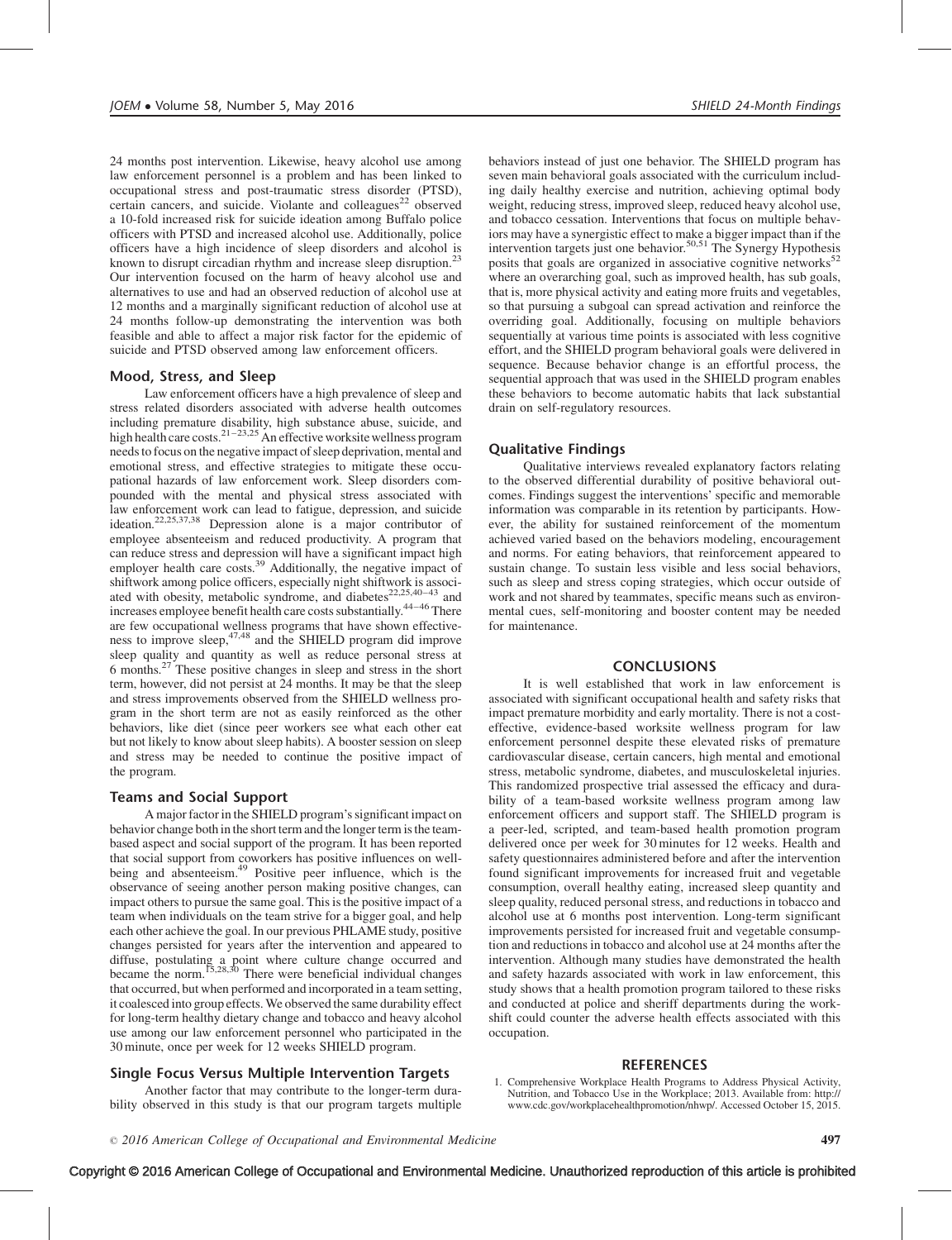<span id="page-5-0"></span>24 months post intervention. Likewise, heavy alcohol use among law enforcement personnel is a problem and has been linked to occupational stress and post-traumatic stress disorder (PTSD), certain cancers, and suicide. Violante and colleagues<sup>[22](#page-6-0)</sup> observed a 10-fold increased risk for suicide ideation among Buffalo police officers with PTSD and increased alcohol use. Additionally, police officers have a high incidence of sleep disorders and alcohol is known to disrupt circadian rhythm and increase sleep disruption.<sup>2</sup> Our intervention focused on the harm of heavy alcohol use and alternatives to use and had an observed reduction of alcohol use at 12 months and a marginally significant reduction of alcohol use at 24 months follow-up demonstrating the intervention was both feasible and able to affect a major risk factor for the epidemic of suicide and PTSD observed among law enforcement officers.

# Mood, Stress, and Sleep

Law enforcement officers have a high prevalence of sleep and stress related disorders associated with adverse health outcomes including premature disability, high substance abuse, suicide, and high health care costs. $21-23,25$  An effective worksite wellness program needs to focus on the negative impact of sleep deprivation, mental and emotional stress, and effective strategies to mitigate these occupational hazards of law enforcement work. Sleep disorders compounded with the mental and physical stress associated with law enforcement work can lead to fatigue, depression, and suicide ideation.<sup>22,25,37,38</sup> Depression alone is a major contributor of employee absenteeism and reduced productivity. A program that can reduce stress and depression will have a significant impact high employer health care costs.<sup>39</sup> Additionally, the negative impact of shiftwork among police officers, especially night shiftwork is associated with obesity, metabolic syndrome, and diabetes<sup>[22,25,40–43](#page-6-0)</sup> and increases employee benefit health care costs substantially[.44–46](#page-6-0) There are few occupational wellness programs that have shown effective-<br>ness to improve sleep,<sup>[47,48](#page-6-0)</sup> and the SHIELD program did improve sleep quality and quantity as well as reduce personal stress at 6 months.[27](#page-6-0) These positive changes in sleep and stress in the short term, however, did not persist at 24 months. It may be that the sleep and stress improvements observed from the SHIELD wellness program in the short term are not as easily reinforced as the other behaviors, like diet (since peer workers see what each other eat but not likely to know about sleep habits). A booster session on sleep and stress may be needed to continue the positive impact of the program.

# Teams and Social Support

A major factor in the SHIELD program's significant impact on behavior change both in the short term and the longer term is the teambased aspect and social support of the program. It has been reported that social support from coworkers has positive influences on wellbeing and absenteeism.<sup>49</sup> Positive peer influence, which is the observance of seeing another person making positive changes, can impact others to pursue the same goal. This is the positive impact of a team when individuals on the team strive for a bigger goal, and help each other achieve the goal. In our previous PHLAME study, positive changes persisted for years after the intervention and appeared to diffuse, postulating a point where culture change occurred and became the norm.<sup>[15,28,30](#page-6-0)</sup> There were beneficial individual changes that occurred, but when performed and incorporated in a team setting, it coalesced into group effects. We observed the same durability effect for long-term healthy dietary change and tobacco and heavy alcohol use among our law enforcement personnel who participated in the 30 minute, once per week for 12 weeks SHIELD program.

# Single Focus Versus Multiple Intervention Targets

Another factor that may contribute to the longer-term durability observed in this study is that our program targets multiple

behaviors instead of just one behavior. The SHIELD program has seven main behavioral goals associated with the curriculum including daily healthy exercise and nutrition, achieving optimal body weight, reducing stress, improved sleep, reduced heavy alcohol use, and tobacco cessation. Interventions that focus on multiple behaviors may have a synergistic effect to make a bigger impact than if the intervention targets just one behavior.<sup>[50,51](#page-6-0)</sup> The Synergy Hypothesis posits that goals are organized in associative cognitive networks<sup>5</sup> where an overarching goal, such as improved health, has sub goals, that is, more physical activity and eating more fruits and vegetables, so that pursuing a subgoal can spread activation and reinforce the overriding goal. Additionally, focusing on multiple behaviors sequentially at various time points is associated with less cognitive effort, and the SHIELD program behavioral goals were delivered in sequence. Because behavior change is an effortful process, the sequential approach that was used in the SHIELD program enables these behaviors to become automatic habits that lack substantial drain on self-regulatory resources.

# Qualitative Findings

Qualitative interviews revealed explanatory factors relating to the observed differential durability of positive behavioral outcomes. Findings suggest the interventions' specific and memorable information was comparable in its retention by participants. However, the ability for sustained reinforcement of the momentum achieved varied based on the behaviors modeling, encouragement and norms. For eating behaviors, that reinforcement appeared to sustain change. To sustain less visible and less social behaviors, such as sleep and stress coping strategies, which occur outside of work and not shared by teammates, specific means such as environmental cues, self-monitoring and booster content may be needed for maintenance.

### CONCLUSIONS

It is well established that work in law enforcement is associated with significant occupational health and safety risks that impact premature morbidity and early mortality. There is not a costeffective, evidence-based worksite wellness program for law enforcement personnel despite these elevated risks of premature cardiovascular disease, certain cancers, high mental and emotional stress, metabolic syndrome, diabetes, and musculoskeletal injuries. This randomized prospective trial assessed the efficacy and durability of a team-based worksite wellness program among law enforcement officers and support staff. The SHIELD program is a peer-led, scripted, and team-based health promotion program delivered once per week for 30 minutes for 12 weeks. Health and safety questionnaires administered before and after the intervention found significant improvements for increased fruit and vegetable consumption, overall healthy eating, increased sleep quantity and sleep quality, reduced personal stress, and reductions in tobacco and alcohol use at 6 months post intervention. Long-term significant improvements persisted for increased fruit and vegetable consumption and reductions in tobacco and alcohol use at 24 months after the intervention. Although many studies have demonstrated the health and safety hazards associated with work in law enforcement, this study shows that a health promotion program tailored to these risks and conducted at police and sheriff departments during the workshift could counter the adverse health effects associated with this occupation.

# **REFERENCES**

1. Comprehensive Workplace Health Programs to Address Physical Activity, Nutrition, and Tobacco Use in the Workplace; 2013. Available from: [http://](http://www.cdc.gov/workplacehealthpromotion/nhwp/) [www.cdc.gov/workplacehealthpromotion/nhwp/. Accessed October 15, 2015.](http://www.cdc.gov/workplacehealthpromotion/nhwp/)

Copyright © 2016 American College of Occupational and Environmental Medicine. Unauthorized reproduction of this article is prohibited